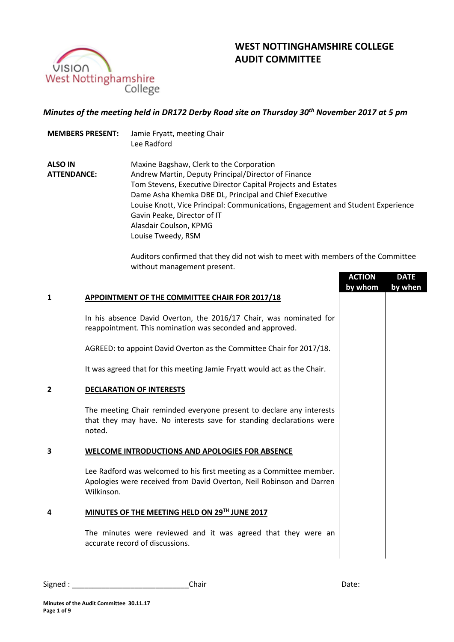

# **WEST NOTTINGHAMSHIRE COLLEGE AUDIT COMMITTEE**

# *Minutes of the meeting held in DR172 Derby Road site on Thursday 30th November 2017 at 5 pm*

- **MEMBERS PRESENT:** Jamie Fryatt, meeting Chair Lee Radford
- **ALSO IN ATTENDANCE:** Maxine Bagshaw, Clerk to the Corporation Andrew Martin, Deputy Principal/Director of Finance Tom Stevens, Executive Director Capital Projects and Estates Dame Asha Khemka DBE DL, Principal and Chief Executive Louise Knott, Vice Principal: Communications, Engagement and Student Experience Gavin Peake, Director of IT Alasdair Coulson, KPMG Louise Tweedy, RSM

Auditors confirmed that they did not wish to meet with members of the Committee without management present.

|                |                                                                                                                                                            | <b>ACTION</b><br>by whom | <b>DATE</b><br>by when |
|----------------|------------------------------------------------------------------------------------------------------------------------------------------------------------|--------------------------|------------------------|
| 1              | APPOINTMENT OF THE COMMITTEE CHAIR FOR 2017/18                                                                                                             |                          |                        |
|                | In his absence David Overton, the 2016/17 Chair, was nominated for<br>reappointment. This nomination was seconded and approved.                            |                          |                        |
|                | AGREED: to appoint David Overton as the Committee Chair for 2017/18.                                                                                       |                          |                        |
|                | It was agreed that for this meeting Jamie Fryatt would act as the Chair.                                                                                   |                          |                        |
| $\overline{2}$ | <b>DECLARATION OF INTERESTS</b>                                                                                                                            |                          |                        |
|                | The meeting Chair reminded everyone present to declare any interests<br>that they may have. No interests save for standing declarations were<br>noted.     |                          |                        |
| 3              | WELCOME INTRODUCTIONS AND APOLOGIES FOR ABSENCE                                                                                                            |                          |                        |
|                | Lee Radford was welcomed to his first meeting as a Committee member.<br>Apologies were received from David Overton, Neil Robinson and Darren<br>Wilkinson. |                          |                        |
| 4              | MINUTES OF THE MEETING HELD ON 29TH JUNE 2017                                                                                                              |                          |                        |
|                | The minutes were reviewed and it was agreed that they were an<br>accurate record of discussions.                                                           |                          |                        |
|                |                                                                                                                                                            |                          |                        |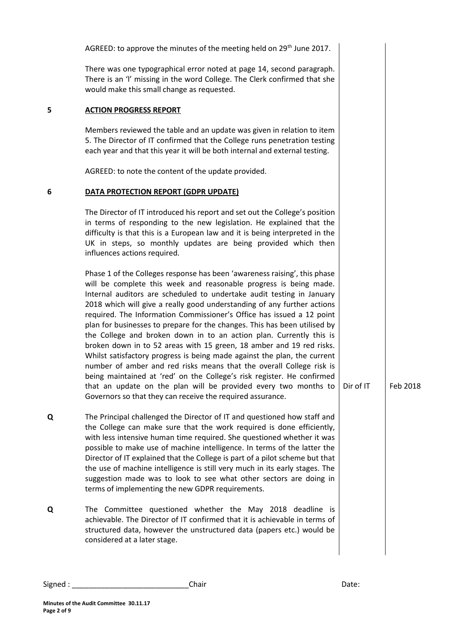|   | AGREED: to approve the minutes of the meeting held on 29 <sup>th</sup> June 2017.                                                                                                                                                                                                                                                                                                                                                                                                                                                                                                                                                                                                                                                                                                                                                                                                                                                                                      |           |          |
|---|------------------------------------------------------------------------------------------------------------------------------------------------------------------------------------------------------------------------------------------------------------------------------------------------------------------------------------------------------------------------------------------------------------------------------------------------------------------------------------------------------------------------------------------------------------------------------------------------------------------------------------------------------------------------------------------------------------------------------------------------------------------------------------------------------------------------------------------------------------------------------------------------------------------------------------------------------------------------|-----------|----------|
|   | There was one typographical error noted at page 14, second paragraph.<br>There is an 'I' missing in the word College. The Clerk confirmed that she<br>would make this small change as requested.                                                                                                                                                                                                                                                                                                                                                                                                                                                                                                                                                                                                                                                                                                                                                                       |           |          |
| 5 | <b>ACTION PROGRESS REPORT</b>                                                                                                                                                                                                                                                                                                                                                                                                                                                                                                                                                                                                                                                                                                                                                                                                                                                                                                                                          |           |          |
|   | Members reviewed the table and an update was given in relation to item<br>5. The Director of IT confirmed that the College runs penetration testing<br>each year and that this year it will be both internal and external testing.                                                                                                                                                                                                                                                                                                                                                                                                                                                                                                                                                                                                                                                                                                                                     |           |          |
|   | AGREED: to note the content of the update provided.                                                                                                                                                                                                                                                                                                                                                                                                                                                                                                                                                                                                                                                                                                                                                                                                                                                                                                                    |           |          |
| 6 | DATA PROTECTION REPORT (GDPR UPDATE)                                                                                                                                                                                                                                                                                                                                                                                                                                                                                                                                                                                                                                                                                                                                                                                                                                                                                                                                   |           |          |
|   | The Director of IT introduced his report and set out the College's position<br>in terms of responding to the new legislation. He explained that the<br>difficulty is that this is a European law and it is being interpreted in the<br>UK in steps, so monthly updates are being provided which then<br>influences actions required.                                                                                                                                                                                                                                                                                                                                                                                                                                                                                                                                                                                                                                   |           |          |
|   | Phase 1 of the Colleges response has been 'awareness raising', this phase<br>will be complete this week and reasonable progress is being made.<br>Internal auditors are scheduled to undertake audit testing in January<br>2018 which will give a really good understanding of any further actions<br>required. The Information Commissioner's Office has issued a 12 point<br>plan for businesses to prepare for the changes. This has been utilised by<br>the College and broken down in to an action plan. Currently this is<br>broken down in to 52 areas with 15 green, 18 amber and 19 red risks.<br>Whilst satisfactory progress is being made against the plan, the current<br>number of amber and red risks means that the overall College risk is<br>being maintained at 'red' on the College's risk register. He confirmed<br>that an update on the plan will be provided every two months to<br>Governors so that they can receive the required assurance. | Dir of IT | Feb 2018 |
| Q | The Principal challenged the Director of IT and questioned how staff and<br>the College can make sure that the work required is done efficiently,<br>with less intensive human time required. She questioned whether it was<br>possible to make use of machine intelligence. In terms of the latter the<br>Director of IT explained that the College is part of a pilot scheme but that<br>the use of machine intelligence is still very much in its early stages. The<br>suggestion made was to look to see what other sectors are doing in<br>terms of implementing the new GDPR requirements.                                                                                                                                                                                                                                                                                                                                                                       |           |          |
| Q | The Committee questioned whether the May 2018 deadline is<br>achievable. The Director of IT confirmed that it is achievable in terms of<br>structured data, however the unstructured data (papers etc.) would be<br>considered at a later stage.                                                                                                                                                                                                                                                                                                                                                                                                                                                                                                                                                                                                                                                                                                                       |           |          |
|   |                                                                                                                                                                                                                                                                                                                                                                                                                                                                                                                                                                                                                                                                                                                                                                                                                                                                                                                                                                        |           |          |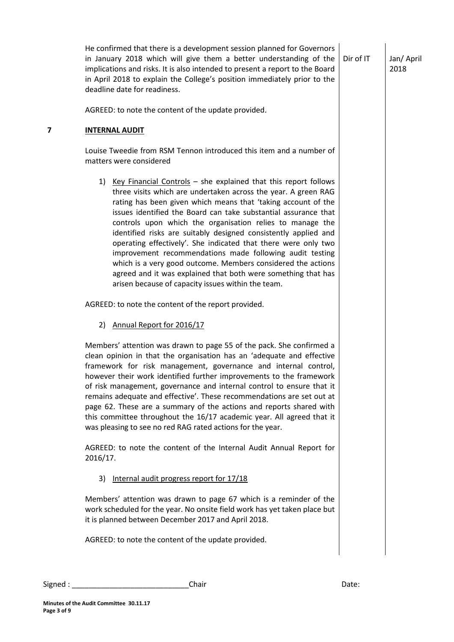Jan/ April 2018

| AGREED: to note the content of the update provided.<br>7<br><b>INTERNAL AUDIT</b><br>Louise Tweedie from RSM Tennon introduced this item and a number of<br>matters were considered<br>1) Key Financial Controls - she explained that this report follows<br>three visits which are undertaken across the year. A green RAG<br>rating has been given which means that 'taking account of the<br>issues identified the Board can take substantial assurance that<br>controls upon which the organisation relies to manage the<br>identified risks are suitably designed consistently applied and<br>operating effectively'. She indicated that there were only two<br>improvement recommendations made following audit testing<br>which is a very good outcome. Members considered the actions<br>agreed and it was explained that both were something that has<br>arisen because of capacity issues within the team.<br>AGREED: to note the content of the report provided.<br>2) Annual Report for 2016/17<br>Members' attention was drawn to page 55 of the pack. She confirmed a<br>clean opinion in that the organisation has an 'adequate and effective<br>framework for risk management, governance and internal control,<br>however their work identified further improvements to the framework<br>of risk management, governance and internal control to ensure that it<br>remains adequate and effective'. These recommendations are set out at<br>page 62. These are a summary of the actions and reports shared with<br>this committee throughout the 16/17 academic year. All agreed that it<br>was pleasing to see no red RAG rated actions for the year.<br>AGREED: to note the content of the Internal Audit Annual Report for<br>2016/17.<br>3) Internal audit progress report for 17/18<br>Members' attention was drawn to page 67 which is a reminder of the<br>work scheduled for the year. No onsite field work has yet taken place but<br>it is planned between December 2017 and April 2018. |       |
|--------------------------------------------------------------------------------------------------------------------------------------------------------------------------------------------------------------------------------------------------------------------------------------------------------------------------------------------------------------------------------------------------------------------------------------------------------------------------------------------------------------------------------------------------------------------------------------------------------------------------------------------------------------------------------------------------------------------------------------------------------------------------------------------------------------------------------------------------------------------------------------------------------------------------------------------------------------------------------------------------------------------------------------------------------------------------------------------------------------------------------------------------------------------------------------------------------------------------------------------------------------------------------------------------------------------------------------------------------------------------------------------------------------------------------------------------------------------------------------------------------------------------------------------------------------------------------------------------------------------------------------------------------------------------------------------------------------------------------------------------------------------------------------------------------------------------------------------------------------------------------------------------------------------------------------------------------------------------------------------------------------------|-------|
|                                                                                                                                                                                                                                                                                                                                                                                                                                                                                                                                                                                                                                                                                                                                                                                                                                                                                                                                                                                                                                                                                                                                                                                                                                                                                                                                                                                                                                                                                                                                                                                                                                                                                                                                                                                                                                                                                                                                                                                                                    |       |
|                                                                                                                                                                                                                                                                                                                                                                                                                                                                                                                                                                                                                                                                                                                                                                                                                                                                                                                                                                                                                                                                                                                                                                                                                                                                                                                                                                                                                                                                                                                                                                                                                                                                                                                                                                                                                                                                                                                                                                                                                    |       |
|                                                                                                                                                                                                                                                                                                                                                                                                                                                                                                                                                                                                                                                                                                                                                                                                                                                                                                                                                                                                                                                                                                                                                                                                                                                                                                                                                                                                                                                                                                                                                                                                                                                                                                                                                                                                                                                                                                                                                                                                                    |       |
|                                                                                                                                                                                                                                                                                                                                                                                                                                                                                                                                                                                                                                                                                                                                                                                                                                                                                                                                                                                                                                                                                                                                                                                                                                                                                                                                                                                                                                                                                                                                                                                                                                                                                                                                                                                                                                                                                                                                                                                                                    |       |
|                                                                                                                                                                                                                                                                                                                                                                                                                                                                                                                                                                                                                                                                                                                                                                                                                                                                                                                                                                                                                                                                                                                                                                                                                                                                                                                                                                                                                                                                                                                                                                                                                                                                                                                                                                                                                                                                                                                                                                                                                    |       |
|                                                                                                                                                                                                                                                                                                                                                                                                                                                                                                                                                                                                                                                                                                                                                                                                                                                                                                                                                                                                                                                                                                                                                                                                                                                                                                                                                                                                                                                                                                                                                                                                                                                                                                                                                                                                                                                                                                                                                                                                                    |       |
|                                                                                                                                                                                                                                                                                                                                                                                                                                                                                                                                                                                                                                                                                                                                                                                                                                                                                                                                                                                                                                                                                                                                                                                                                                                                                                                                                                                                                                                                                                                                                                                                                                                                                                                                                                                                                                                                                                                                                                                                                    |       |
|                                                                                                                                                                                                                                                                                                                                                                                                                                                                                                                                                                                                                                                                                                                                                                                                                                                                                                                                                                                                                                                                                                                                                                                                                                                                                                                                                                                                                                                                                                                                                                                                                                                                                                                                                                                                                                                                                                                                                                                                                    |       |
|                                                                                                                                                                                                                                                                                                                                                                                                                                                                                                                                                                                                                                                                                                                                                                                                                                                                                                                                                                                                                                                                                                                                                                                                                                                                                                                                                                                                                                                                                                                                                                                                                                                                                                                                                                                                                                                                                                                                                                                                                    |       |
|                                                                                                                                                                                                                                                                                                                                                                                                                                                                                                                                                                                                                                                                                                                                                                                                                                                                                                                                                                                                                                                                                                                                                                                                                                                                                                                                                                                                                                                                                                                                                                                                                                                                                                                                                                                                                                                                                                                                                                                                                    |       |
| AGREED: to note the content of the update provided.                                                                                                                                                                                                                                                                                                                                                                                                                                                                                                                                                                                                                                                                                                                                                                                                                                                                                                                                                                                                                                                                                                                                                                                                                                                                                                                                                                                                                                                                                                                                                                                                                                                                                                                                                                                                                                                                                                                                                                |       |
| Chair<br>Signed : __________                                                                                                                                                                                                                                                                                                                                                                                                                                                                                                                                                                                                                                                                                                                                                                                                                                                                                                                                                                                                                                                                                                                                                                                                                                                                                                                                                                                                                                                                                                                                                                                                                                                                                                                                                                                                                                                                                                                                                                                       | Date: |

He confirmed that there is a development session planned for Governors

in January 2018 which will give them a better understanding of the  $\vert$  Dir of IT

**Page 3 of 9**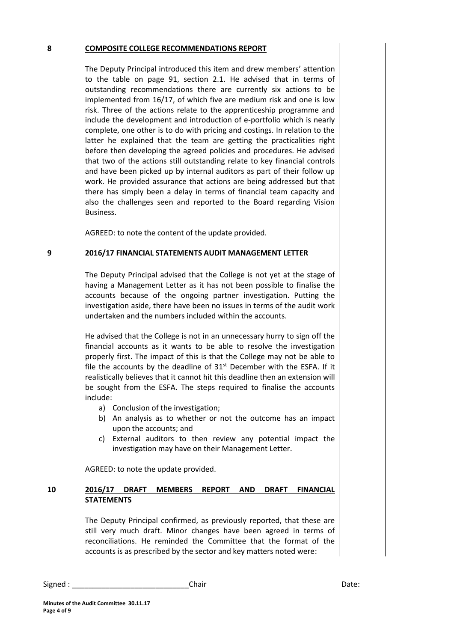#### **8 COMPOSITE COLLEGE RECOMMENDATIONS REPORT**

The Deputy Principal introduced this item and drew members' attention to the table on page 91, section 2.1. He advised that in terms of outstanding recommendations there are currently six actions to be implemented from 16/17, of which five are medium risk and one is low risk. Three of the actions relate to the apprenticeship programme and include the development and introduction of e-portfolio which is nearly complete, one other is to do with pricing and costings. In relation to the latter he explained that the team are getting the practicalities right before then developing the agreed policies and procedures. He advised that two of the actions still outstanding relate to key financial controls and have been picked up by internal auditors as part of their follow up work. He provided assurance that actions are being addressed but that there has simply been a delay in terms of financial team capacity and also the challenges seen and reported to the Board regarding Vision Business.

AGREED: to note the content of the update provided.

#### **9 2016/17 FINANCIAL STATEMENTS AUDIT MANAGEMENT LETTER**

The Deputy Principal advised that the College is not yet at the stage of having a Management Letter as it has not been possible to finalise the accounts because of the ongoing partner investigation. Putting the investigation aside, there have been no issues in terms of the audit work undertaken and the numbers included within the accounts.

He advised that the College is not in an unnecessary hurry to sign off the financial accounts as it wants to be able to resolve the investigation properly first. The impact of this is that the College may not be able to file the accounts by the deadline of  $31<sup>st</sup>$  December with the ESFA. If it realistically believes that it cannot hit this deadline then an extension will be sought from the ESFA. The steps required to finalise the accounts include:

- a) Conclusion of the investigation;
- b) An analysis as to whether or not the outcome has an impact upon the accounts; and
- c) External auditors to then review any potential impact the investigation may have on their Management Letter.

AGREED: to note the update provided.

## **10 2016/17 DRAFT MEMBERS REPORT AND DRAFT FINANCIAL STATEMENTS**

The Deputy Principal confirmed, as previously reported, that these are still very much draft. Minor changes have been agreed in terms of reconciliations. He reminded the Committee that the format of the accounts is as prescribed by the sector and key matters noted were:

Signed : \_\_\_\_\_\_\_\_\_\_\_\_\_\_\_\_\_\_\_\_\_\_\_\_\_\_\_\_Chair Date: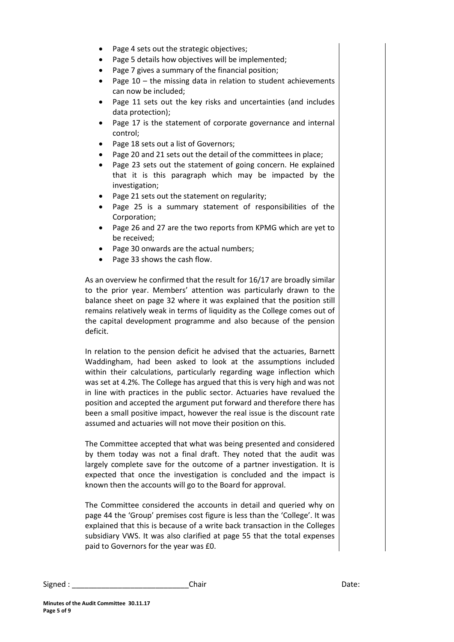- Page 4 sets out the strategic objectives;
- Page 5 details how objectives will be implemented;
- Page 7 gives a summary of the financial position;
- Page 10 the missing data in relation to student achievements can now be included;
- Page 11 sets out the key risks and uncertainties (and includes data protection);
- Page 17 is the statement of corporate governance and internal control;
- Page 18 sets out a list of Governors;
- Page 20 and 21 sets out the detail of the committees in place;
- Page 23 sets out the statement of going concern. He explained that it is this paragraph which may be impacted by the investigation;
- Page 21 sets out the statement on regularity;
- Page 25 is a summary statement of responsibilities of the Corporation;
- Page 26 and 27 are the two reports from KPMG which are yet to be received;
- Page 30 onwards are the actual numbers;
- Page 33 shows the cash flow.

As an overview he confirmed that the result for 16/17 are broadly similar to the prior year. Members' attention was particularly drawn to the balance sheet on page 32 where it was explained that the position still remains relatively weak in terms of liquidity as the College comes out of the capital development programme and also because of the pension deficit.

In relation to the pension deficit he advised that the actuaries, Barnett Waddingham, had been asked to look at the assumptions included within their calculations, particularly regarding wage inflection which was set at 4.2%. The College has argued that this is very high and was not in line with practices in the public sector. Actuaries have revalued the position and accepted the argument put forward and therefore there has been a small positive impact, however the real issue is the discount rate assumed and actuaries will not move their position on this.

The Committee accepted that what was being presented and considered by them today was not a final draft. They noted that the audit was largely complete save for the outcome of a partner investigation. It is expected that once the investigation is concluded and the impact is known then the accounts will go to the Board for approval.

The Committee considered the accounts in detail and queried why on page 44 the 'Group' premises cost figure is less than the 'College'. It was explained that this is because of a write back transaction in the Colleges subsidiary VWS. It was also clarified at page 55 that the total expenses paid to Governors for the year was £0.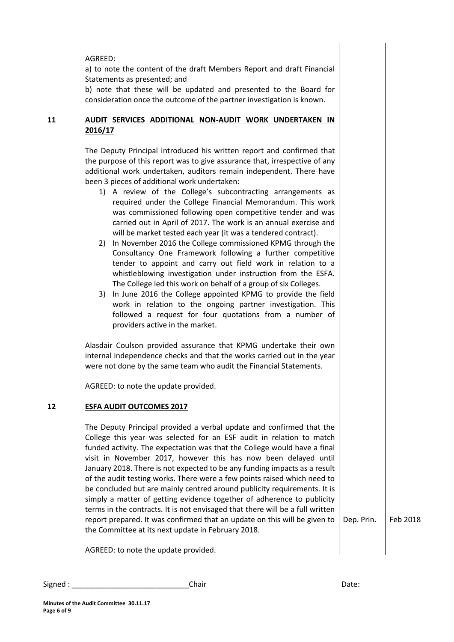AGREED:

a) to note the content of the draft Members Report and draft Financial Statements as presented; and

b) note that these will be updated and presented to the Board for consideration once the outcome of the partner investigation is known.

# **11 AUDIT SERVICES ADDITIONAL NON-AUDIT WORK UNDERTAKEN IN 2016/17**

The Deputy Principal introduced his written report and confirmed that the purpose of this report was to give assurance that, irrespective of any additional work undertaken, auditors remain independent. There have been 3 pieces of additional work undertaken:

- 1) A review of the College's subcontracting arrangements as required under the College Financial Memorandum. This work was commissioned following open competitive tender and was carried out in April of 2017. The work is an annual exercise and will be market tested each year (it was a tendered contract).
- 2) In November 2016 the College commissioned KPMG through the Consultancy One Framework following a further competitive tender to appoint and carry out field work in relation to a whistleblowing investigation under instruction from the ESFA. The College led this work on behalf of a group of six Colleges.
- 3) In June 2016 the College appointed KPMG to provide the field work in relation to the ongoing partner investigation. This followed a request for four quotations from a number of providers active in the market.

Alasdair Coulson provided assurance that KPMG undertake their own internal independence checks and that the works carried out in the year were not done by the same team who audit the Financial Statements.

AGREED: to note the update provided.

# **12 ESFA AUDIT OUTCOMES 2017**

The Deputy Principal provided a verbal update and confirmed that the College this year was selected for an ESF audit in relation to match funded activity. The expectation was that the College would have a final visit in November 2017, however this has now been delayed until January 2018. There is not expected to be any funding impacts as a result of the audit testing works. There were a few points raised which need to be concluded but are mainly centred around publicity requirements. It is simply a matter of getting evidence together of adherence to publicity terms in the contracts. It is not envisaged that there will be a full written report prepared. It was confirmed that an update on this will be given to the Committee at its next update in February 2018.

Dep. Prin. Feb 2018

AGREED: to note the update provided.

Signed : \_\_\_\_\_\_\_\_\_\_\_\_\_\_\_\_\_\_\_\_\_\_\_\_\_\_\_\_Chair Date: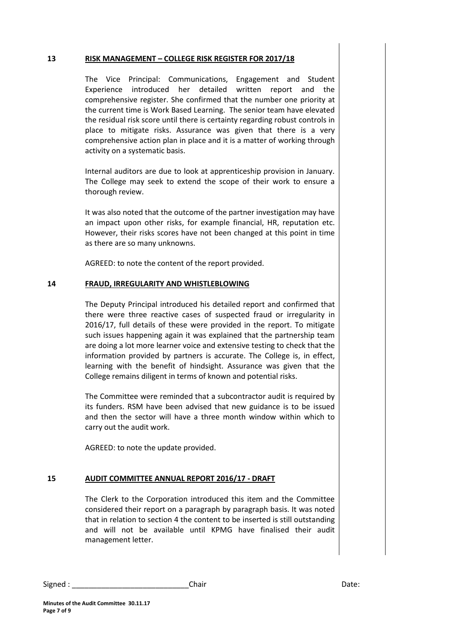#### **13 RISK MANAGEMENT – COLLEGE RISK REGISTER FOR 2017/18**

The Vice Principal: Communications, Engagement and Student Experience introduced her detailed written report and the comprehensive register. She confirmed that the number one priority at the current time is Work Based Learning. The senior team have elevated the residual risk score until there is certainty regarding robust controls in place to mitigate risks. Assurance was given that there is a very comprehensive action plan in place and it is a matter of working through activity on a systematic basis.

Internal auditors are due to look at apprenticeship provision in January. The College may seek to extend the scope of their work to ensure a thorough review.

It was also noted that the outcome of the partner investigation may have an impact upon other risks, for example financial, HR, reputation etc. However, their risks scores have not been changed at this point in time as there are so many unknowns.

AGREED: to note the content of the report provided.

## **14 FRAUD, IRREGULARITY AND WHISTLEBLOWING**

The Deputy Principal introduced his detailed report and confirmed that there were three reactive cases of suspected fraud or irregularity in 2016/17, full details of these were provided in the report. To mitigate such issues happening again it was explained that the partnership team are doing a lot more learner voice and extensive testing to check that the information provided by partners is accurate. The College is, in effect, learning with the benefit of hindsight. Assurance was given that the College remains diligent in terms of known and potential risks.

The Committee were reminded that a subcontractor audit is required by its funders. RSM have been advised that new guidance is to be issued and then the sector will have a three month window within which to carry out the audit work.

AGREED: to note the update provided.

#### **15 AUDIT COMMITTEE ANNUAL REPORT 2016/17 - DRAFT**

The Clerk to the Corporation introduced this item and the Committee considered their report on a paragraph by paragraph basis. It was noted that in relation to section 4 the content to be inserted is still outstanding and will not be available until KPMG have finalised their audit management letter.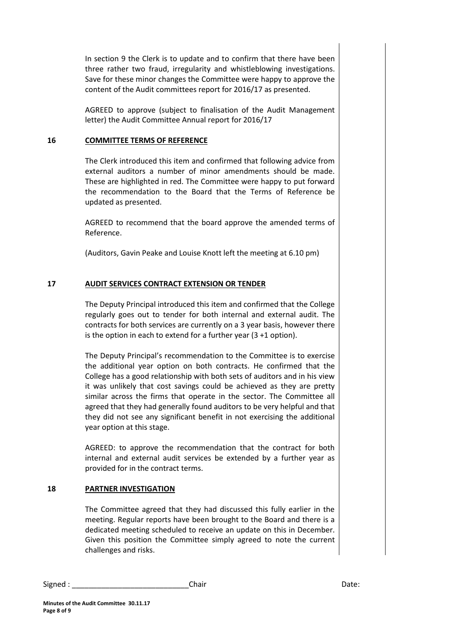In section 9 the Clerk is to update and to confirm that there have been three rather two fraud, irregularity and whistleblowing investigations. Save for these minor changes the Committee were happy to approve the content of the Audit committees report for 2016/17 as presented.

AGREED to approve (subject to finalisation of the Audit Management letter) the Audit Committee Annual report for 2016/17

#### **16 COMMITTEE TERMS OF REFERENCE**

The Clerk introduced this item and confirmed that following advice from external auditors a number of minor amendments should be made. These are highlighted in red. The Committee were happy to put forward the recommendation to the Board that the Terms of Reference be updated as presented.

AGREED to recommend that the board approve the amended terms of Reference.

(Auditors, Gavin Peake and Louise Knott left the meeting at 6.10 pm)

## **17 AUDIT SERVICES CONTRACT EXTENSION OR TENDER**

The Deputy Principal introduced this item and confirmed that the College regularly goes out to tender for both internal and external audit. The contracts for both services are currently on a 3 year basis, however there is the option in each to extend for a further year (3 +1 option).

The Deputy Principal's recommendation to the Committee is to exercise the additional year option on both contracts. He confirmed that the College has a good relationship with both sets of auditors and in his view it was unlikely that cost savings could be achieved as they are pretty similar across the firms that operate in the sector. The Committee all agreed that they had generally found auditors to be very helpful and that they did not see any significant benefit in not exercising the additional year option at this stage.

AGREED: to approve the recommendation that the contract for both internal and external audit services be extended by a further year as provided for in the contract terms.

#### **18 PARTNER INVESTIGATION**

The Committee agreed that they had discussed this fully earlier in the meeting. Regular reports have been brought to the Board and there is a dedicated meeting scheduled to receive an update on this in December. Given this position the Committee simply agreed to note the current challenges and risks.

Signed : \_\_\_\_\_\_\_\_\_\_\_\_\_\_\_\_\_\_\_\_\_\_\_\_\_\_\_\_Chair Date: